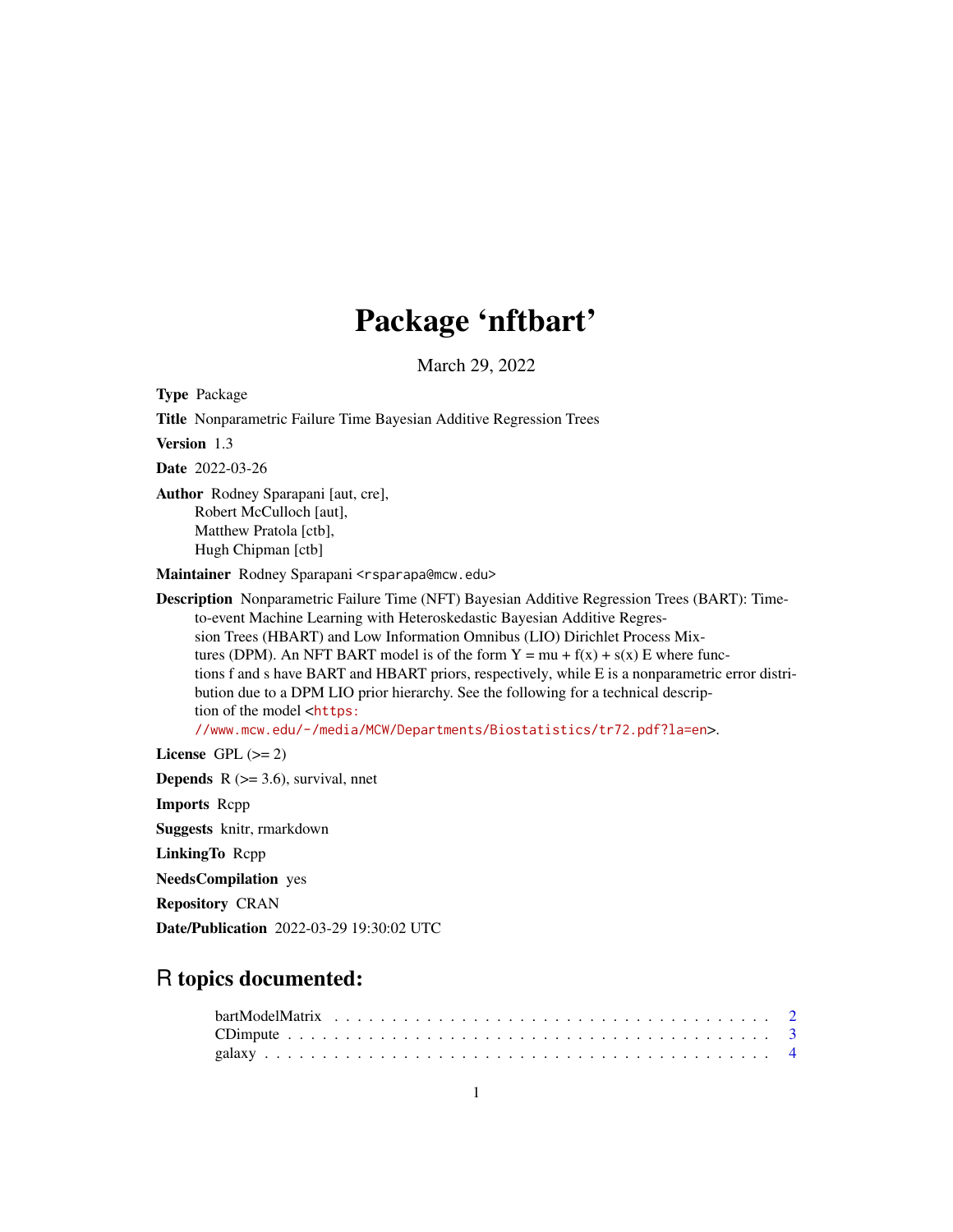## Package 'nftbart'

March 29, 2022

Type Package

Title Nonparametric Failure Time Bayesian Additive Regression Trees Version 1.3 Date 2022-03-26 Author Rodney Sparapani [aut, cre], Robert McCulloch [aut], Matthew Pratola [ctb], Hugh Chipman [ctb] Maintainer Rodney Sparapani <rsparapa@mcw.edu> Description Nonparametric Failure Time (NFT) Bayesian Additive Regression Trees (BART): Timeto-event Machine Learning with Heteroskedastic Bayesian Additive Regression Trees (HBART) and Low Information Omnibus (LIO) Dirichlet Process Mixtures (DPM). An NFT BART model is of the form  $Y = mu + f(x) + s(x) E$  where functions f and s have BART and HBART priors, respectively, while E is a nonparametric error distribution due to a DPM LIO prior hierarchy. See the following for a technical description of the model <[https:](https://www.mcw.edu/-/media/MCW/Departments/Biostatistics/tr72.pdf?la=en) [//www.mcw.edu/-/media/MCW/Departments/Biostatistics/tr72.pdf?la=en](https://www.mcw.edu/-/media/MCW/Departments/Biostatistics/tr72.pdf?la=en)>.

License GPL  $(>= 2)$ 

**Depends** R  $(>= 3.6)$ , survival, nnet

Imports Rcpp

Suggests knitr, rmarkdown

LinkingTo Rcpp

NeedsCompilation yes

Repository CRAN

Date/Publication 2022-03-29 19:30:02 UTC

## R topics documented: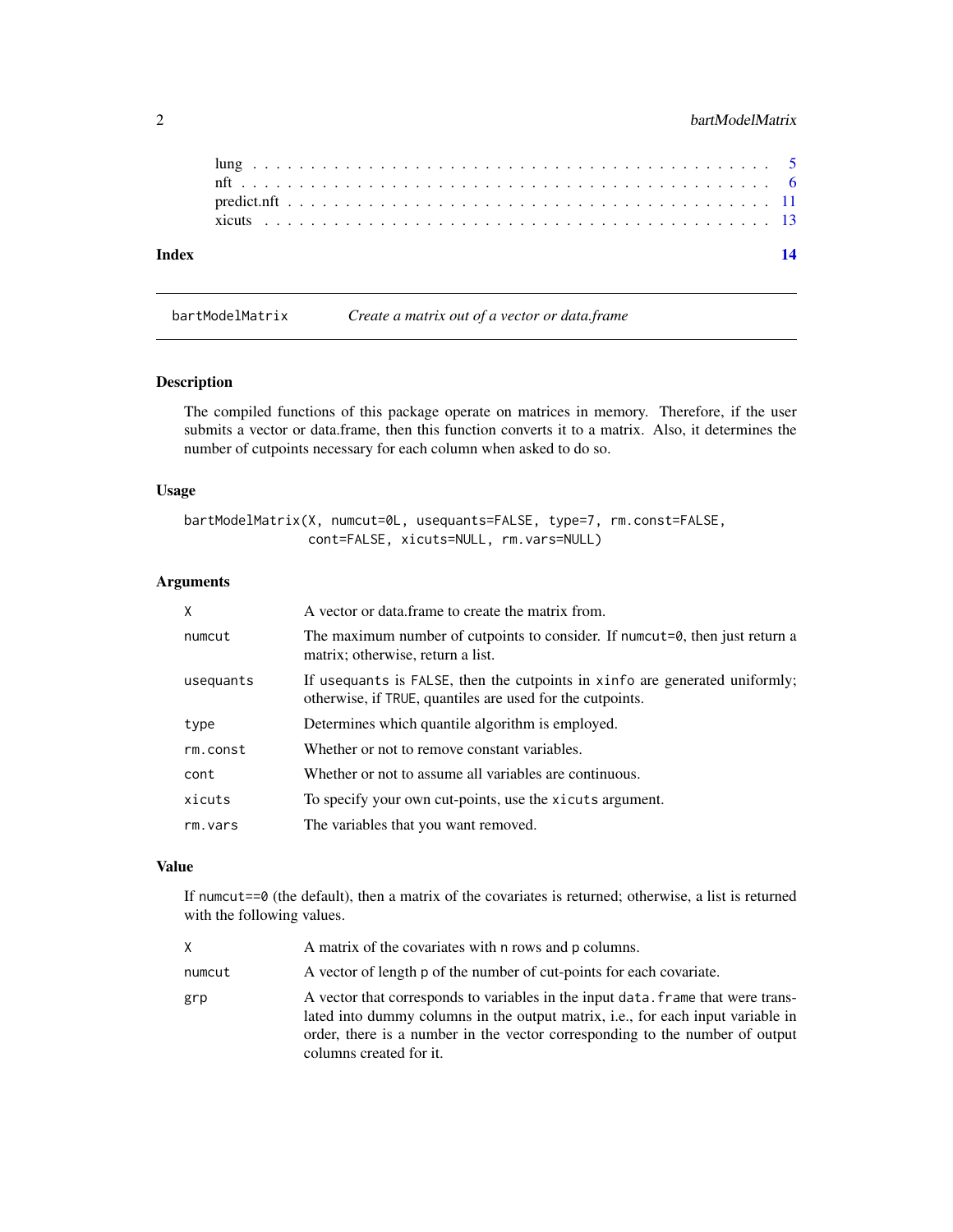| Index |  |  |  |  |  |  |  |  |  |  |  |  |  |  |  |  |  |  |  |  |  |  |
|-------|--|--|--|--|--|--|--|--|--|--|--|--|--|--|--|--|--|--|--|--|--|--|
|       |  |  |  |  |  |  |  |  |  |  |  |  |  |  |  |  |  |  |  |  |  |  |
|       |  |  |  |  |  |  |  |  |  |  |  |  |  |  |  |  |  |  |  |  |  |  |
|       |  |  |  |  |  |  |  |  |  |  |  |  |  |  |  |  |  |  |  |  |  |  |

bartModelMatrix *Create a matrix out of a vector or data.frame*

#### Description

The compiled functions of this package operate on matrices in memory. Therefore, if the user submits a vector or data.frame, then this function converts it to a matrix. Also, it determines the number of cutpoints necessary for each column when asked to do so.

#### Usage

```
bartModelMatrix(X, numcut=0L, usequants=FALSE, type=7, rm.const=FALSE,
               cont=FALSE, xicuts=NULL, rm.vars=NULL)
```
#### Arguments

| X         | A vector or data frame to create the matrix from.                                                                                        |
|-----------|------------------------------------------------------------------------------------------------------------------------------------------|
| numcut    | The maximum number of cutpoints to consider. If numcut=0, then just return a<br>matrix; otherwise, return a list.                        |
| usequants | If usequants is FALSE, then the cutpoints in xinfo are generated uniformly;<br>otherwise, if TRUE, quantiles are used for the cutpoints. |
| type      | Determines which quantile algorithm is employed.                                                                                         |
| rm.const  | Whether or not to remove constant variables.                                                                                             |
| cont      | Whether or not to assume all variables are continuous.                                                                                   |
| xicuts    | To specify your own cut-points, use the xicuts argument.                                                                                 |
| rm.vars   | The variables that you want removed.                                                                                                     |

#### Value

If numcut==0 (the default), then a matrix of the covariates is returned; otherwise, a list is returned with the following values.

| X.     | A matrix of the covariates with n rows and p columns.                                                                                                                                                                                                                                  |
|--------|----------------------------------------------------------------------------------------------------------------------------------------------------------------------------------------------------------------------------------------------------------------------------------------|
| numcut | A vector of length p of the number of cut-points for each covariate.                                                                                                                                                                                                                   |
| grp    | A vector that corresponds to variables in the input data. Frame that were trans-<br>lated into dummy columns in the output matrix, <i>i.e.</i> , for each input variable in<br>order, there is a number in the vector corresponding to the number of output<br>columns created for it. |

<span id="page-1-0"></span>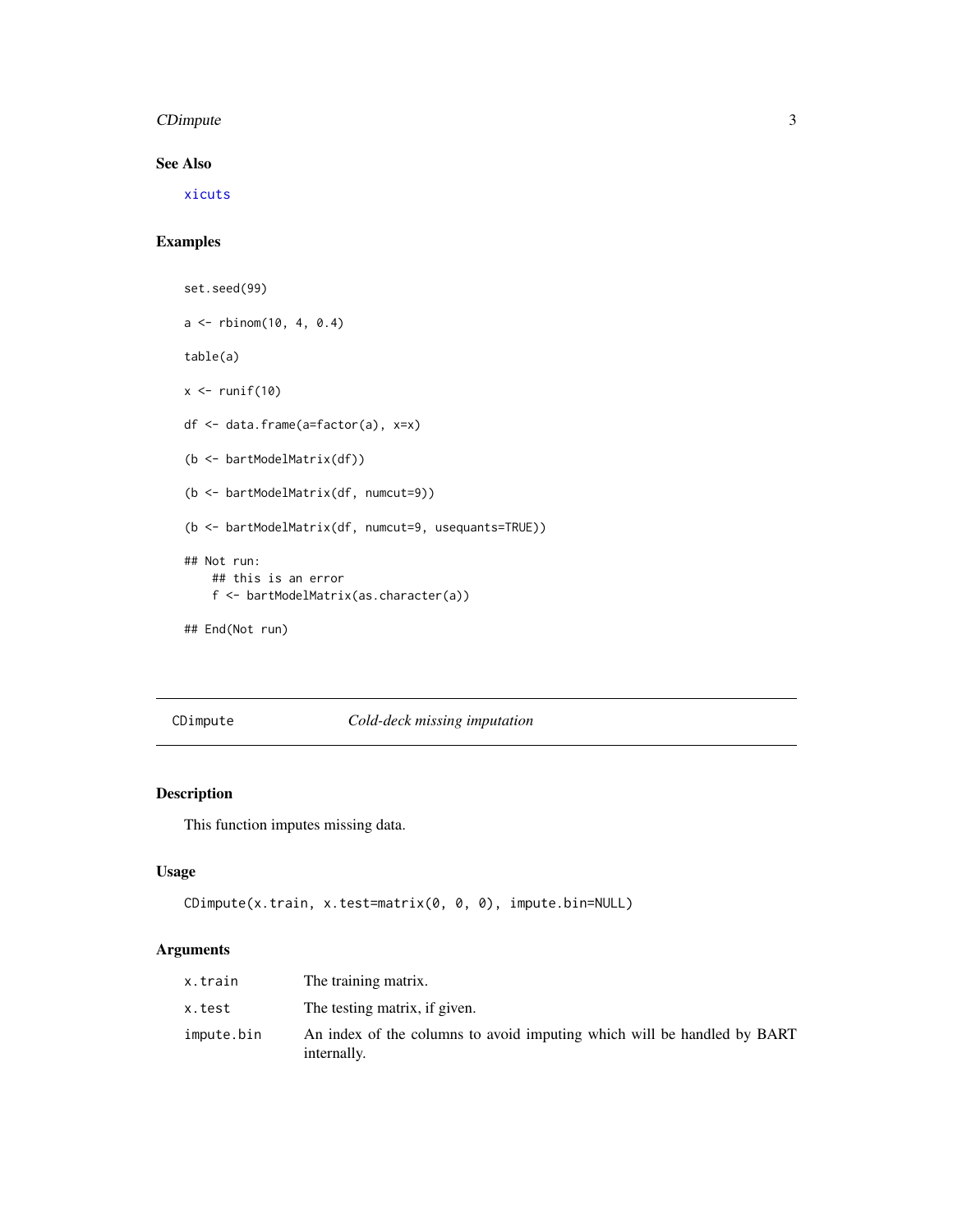#### <span id="page-2-0"></span>CDimpute 3

#### See Also

[xicuts](#page-12-1)

#### Examples

```
set.seed(99)
a \le - rbinom(10, 4, 0.4)
table(a)
x \leftarrow runif(10)df <- data.frame(a=factor(a), x=x)
(b <- bartModelMatrix(df))
(b <- bartModelMatrix(df, numcut=9))
(b <- bartModelMatrix(df, numcut=9, usequants=TRUE))
## Not run:
    ## this is an error
    f <- bartModelMatrix(as.character(a))
## End(Not run)
```
CDimpute *Cold-deck missing imputation*

#### Description

This function imputes missing data.

#### Usage

```
CDimpute(x.train, x.test=matrix(0, 0, 0), impute.bin=NULL)
```
#### Arguments

| x.train    | The training matrix.                                                                   |
|------------|----------------------------------------------------------------------------------------|
| x.test     | The testing matrix, if given.                                                          |
| impute.bin | An index of the columns to avoid imputing which will be handled by BART<br>internally. |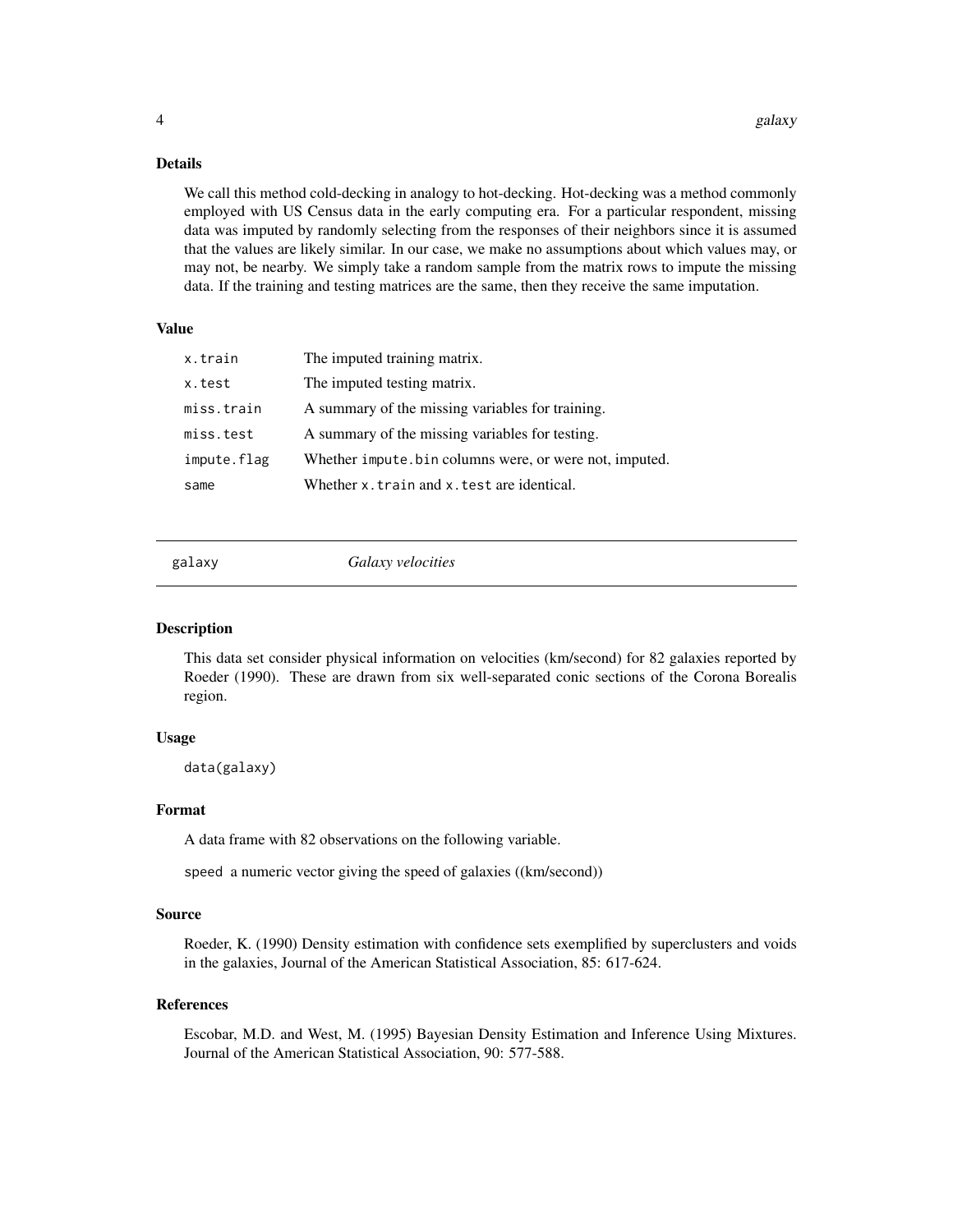#### Details

We call this method cold-decking in analogy to hot-decking. Hot-decking was a method commonly employed with US Census data in the early computing era. For a particular respondent, missing data was imputed by randomly selecting from the responses of their neighbors since it is assumed that the values are likely similar. In our case, we make no assumptions about which values may, or may not, be nearby. We simply take a random sample from the matrix rows to impute the missing data. If the training and testing matrices are the same, then they receive the same imputation.

#### Value

| x.train     | The imputed training matrix.                           |
|-------------|--------------------------------------------------------|
| x.test      | The imputed testing matrix.                            |
| miss.train  | A summary of the missing variables for training.       |
| miss.test   | A summary of the missing variables for testing.        |
| impute.flag | Whether impute bin columns were, or were not, imputed. |
| same        | Whether x. train and x. test are identical.            |

galaxy *Galaxy velocities*

#### Description

This data set consider physical information on velocities (km/second) for 82 galaxies reported by Roeder (1990). These are drawn from six well-separated conic sections of the Corona Borealis region.

#### Usage

data(galaxy)

#### Format

A data frame with 82 observations on the following variable.

speed a numeric vector giving the speed of galaxies ((km/second))

#### Source

Roeder, K. (1990) Density estimation with confidence sets exemplified by superclusters and voids in the galaxies, Journal of the American Statistical Association, 85: 617-624.

#### References

Escobar, M.D. and West, M. (1995) Bayesian Density Estimation and Inference Using Mixtures. Journal of the American Statistical Association, 90: 577-588.

<span id="page-3-0"></span>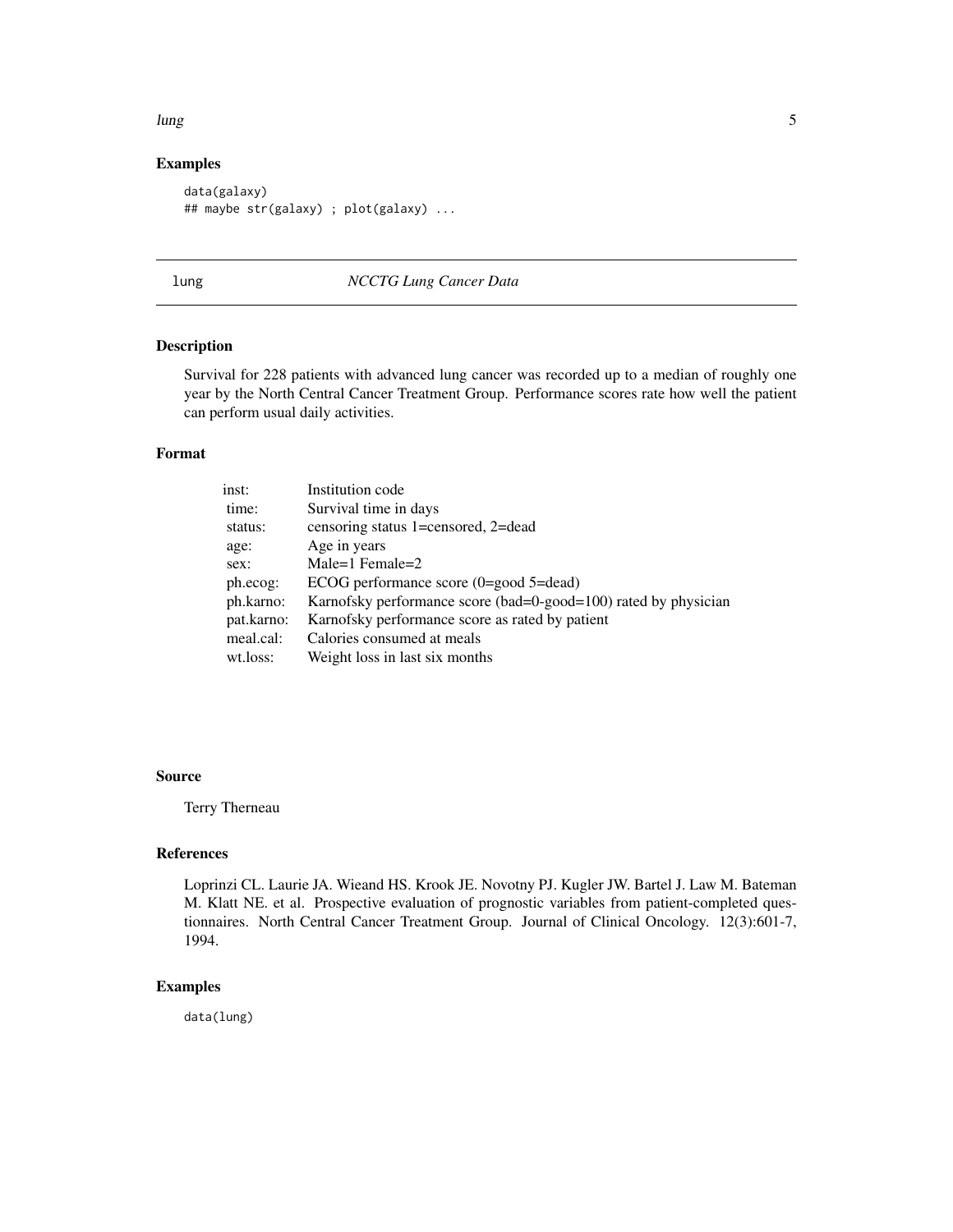#### <span id="page-4-0"></span>lung 50 to 10 minutes and 10 minutes and 10 minutes and 10 minutes and 10 minutes and 10 minutes and 10 minutes

#### Examples

```
data(galaxy)
## maybe str(galaxy) ; plot(galaxy) ...
```
#### lung *NCCTG Lung Cancer Data*

#### Description

Survival for 228 patients with advanced lung cancer was recorded up to a median of roughly one year by the North Central Cancer Treatment Group. Performance scores rate how well the patient can perform usual daily activities.

#### Format

| inst:      | Institution code                                                |
|------------|-----------------------------------------------------------------|
| time:      | Survival time in days                                           |
| status:    | censoring status 1=censored, 2=dead                             |
| age:       | Age in years                                                    |
| sex:       | Male=1 Female=2                                                 |
| ph.ecog:   | ECOG performance score $(0 = good 5 = dead)$                    |
| ph.karno:  | Karnofsky performance score (bad=0-good=100) rated by physician |
| pat.karno: | Karnofsky performance score as rated by patient                 |
| meal.cal:  | Calories consumed at meals                                      |
| wt.loss:   | Weight loss in last six months                                  |
|            |                                                                 |

#### Source

Terry Therneau

#### References

Loprinzi CL. Laurie JA. Wieand HS. Krook JE. Novotny PJ. Kugler JW. Bartel J. Law M. Bateman M. Klatt NE. et al. Prospective evaluation of prognostic variables from patient-completed questionnaires. North Central Cancer Treatment Group. Journal of Clinical Oncology. 12(3):601-7, 1994.

#### Examples

data(lung)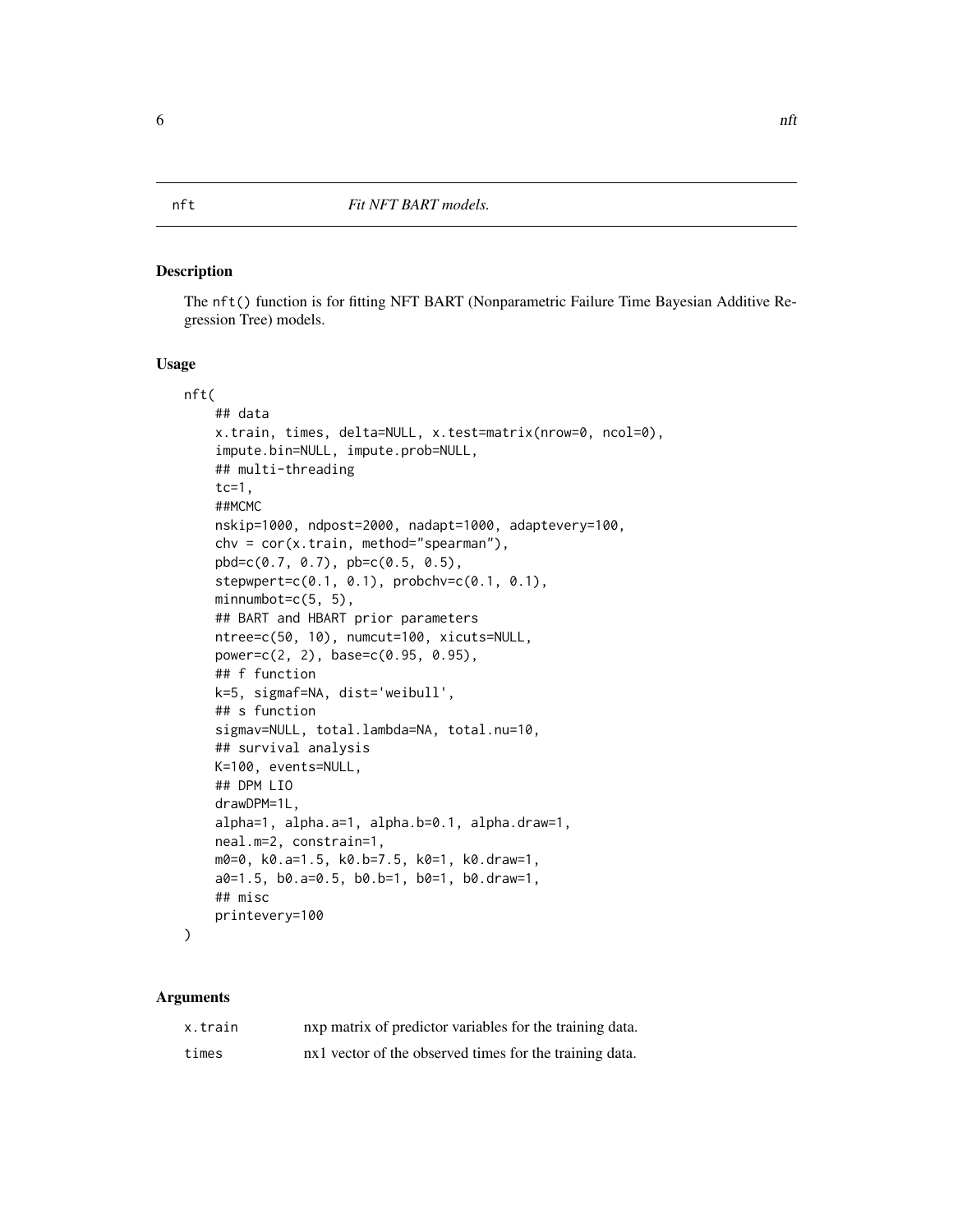#### <span id="page-5-1"></span><span id="page-5-0"></span>Description

The nft() function is for fitting NFT BART (Nonparametric Failure Time Bayesian Additive Regression Tree) models.

#### Usage

```
nft(
    ## data
    x.train, times, delta=NULL, x.test=matrix(nrow=0, ncol=0),
    impute.bin=NULL, impute.prob=NULL,
    ## multi-threading
    tc=1,##MCMC
   nskip=1000, ndpost=2000, nadapt=1000, adaptevery=100,
    chv = cor(x.train, method="spearman"),pbd=c(0.7, 0.7), pb=c(0.5, 0.5),
    stepwpert=c(0.1, 0.1), probchv=c(0.1, 0.1),
    minnumbot=c(5, 5),
    ## BART and HBART prior parameters
    ntree=c(50, 10), numcut=100, xicuts=NULL,
    power=c(2, 2), base=c(0.95, 0.95),
    ## f function
    k=5, sigmaf=NA, dist='weibull',
    ## s function
    sigmav=NULL, total.lambda=NA, total.nu=10,
    ## survival analysis
   K=100, events=NULL,
    ## DPM LIO
    drawDPM=1L,
    alpha=1, alpha.a=1, alpha.b=0.1, alpha.draw=1,
    neal.m=2, constrain=1,
   m0=0, k0.a=1.5, k0.b=7.5, k0=1, k0.draw=1,
    a0=1.5, b0.a=0.5, b0.b=1, b0=1, b0.draw=1,
    ## misc
    printevery=100
)
```
#### Arguments

| x.train | nxp matrix of predictor variables for the training data. |
|---------|----------------------------------------------------------|
| times   | nx1 vector of the observed times for the training data.  |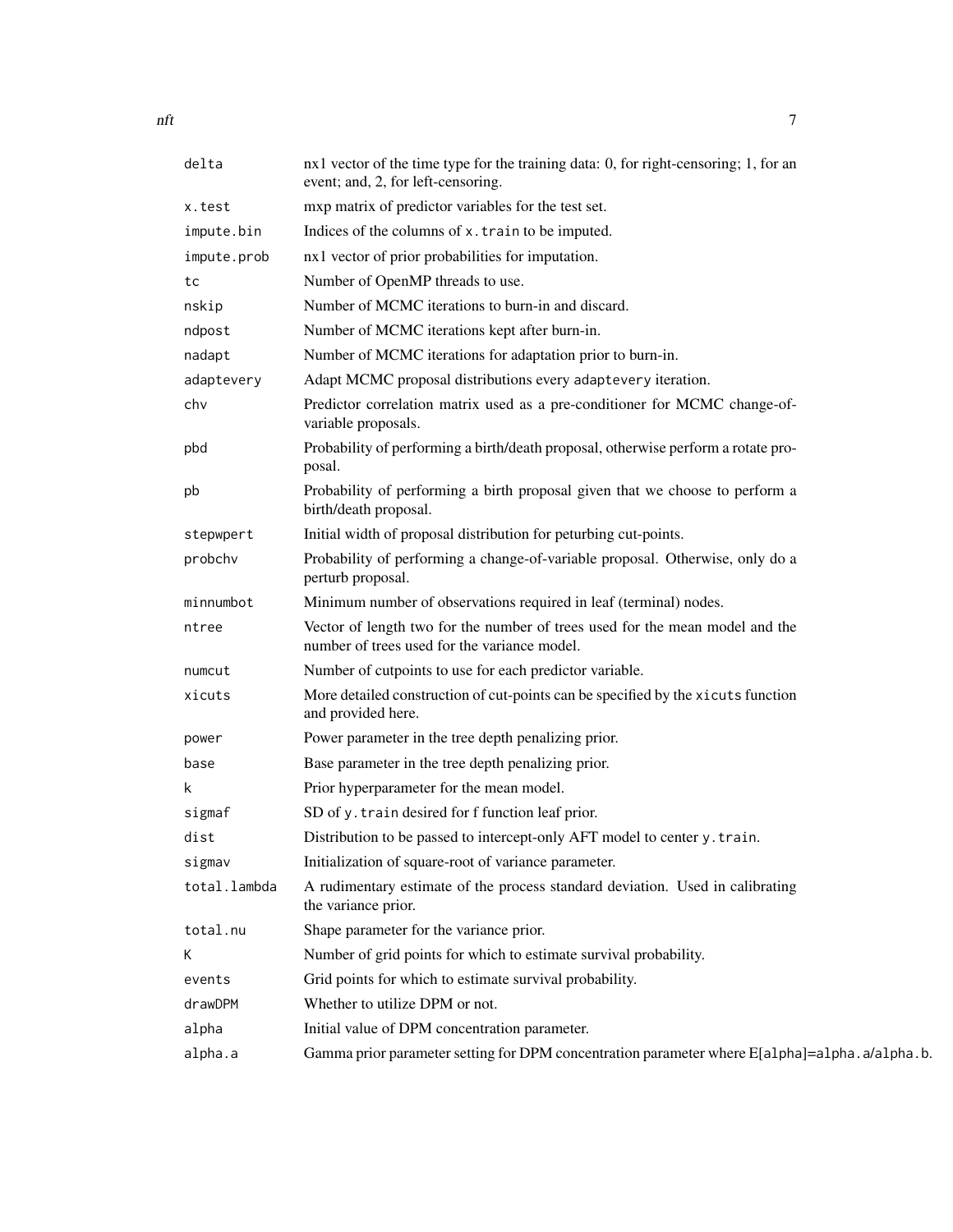| delta        | nx1 vector of the time type for the training data: 0, for right-censoring; 1, for an<br>event; and, 2, for left-censoring.   |
|--------------|------------------------------------------------------------------------------------------------------------------------------|
| x.test       | mxp matrix of predictor variables for the test set.                                                                          |
| impute.bin   | Indices of the columns of x. train to be imputed.                                                                            |
| impute.prob  | nx1 vector of prior probabilities for imputation.                                                                            |
| tc           | Number of OpenMP threads to use.                                                                                             |
| nskip        | Number of MCMC iterations to burn-in and discard.                                                                            |
| ndpost       | Number of MCMC iterations kept after burn-in.                                                                                |
| nadapt       | Number of MCMC iterations for adaptation prior to burn-in.                                                                   |
| adaptevery   | Adapt MCMC proposal distributions every adaptevery iteration.                                                                |
| chv          | Predictor correlation matrix used as a pre-conditioner for MCMC change-of-<br>variable proposals.                            |
| pbd          | Probability of performing a birth/death proposal, otherwise perform a rotate pro-<br>posal.                                  |
| pb           | Probability of performing a birth proposal given that we choose to perform a<br>birth/death proposal.                        |
| stepwpert    | Initial width of proposal distribution for peturbing cut-points.                                                             |
| probchv      | Probability of performing a change-of-variable proposal. Otherwise, only do a<br>perturb proposal.                           |
| minnumbot    | Minimum number of observations required in leaf (terminal) nodes.                                                            |
| ntree        | Vector of length two for the number of trees used for the mean model and the<br>number of trees used for the variance model. |
| numcut       | Number of cutpoints to use for each predictor variable.                                                                      |
| xicuts       | More detailed construction of cut-points can be specified by the xicuts function<br>and provided here.                       |
| power        | Power parameter in the tree depth penalizing prior.                                                                          |
| base         | Base parameter in the tree depth penalizing prior.                                                                           |
| k.           | Prior hyperparameter for the mean model.                                                                                     |
| sigmaf       | SD of y. train desired for f function leaf prior.                                                                            |
| dist         | Distribution to be passed to intercept-only AFT model to center y. train.                                                    |
| sigmav       | Initialization of square-root of variance parameter.                                                                         |
| total.lambda | A rudimentary estimate of the process standard deviation. Used in calibrating<br>the variance prior.                         |
| total.nu     | Shape parameter for the variance prior.                                                                                      |
| K.           | Number of grid points for which to estimate survival probability.                                                            |
| events       | Grid points for which to estimate survival probability.                                                                      |
| drawDPM      | Whether to utilize DPM or not.                                                                                               |
| alpha        | Initial value of DPM concentration parameter.                                                                                |
| alpha.a      | Gamma prior parameter setting for DPM concentration parameter where E[a1pha]=a1pha.a/a1pha.b.                                |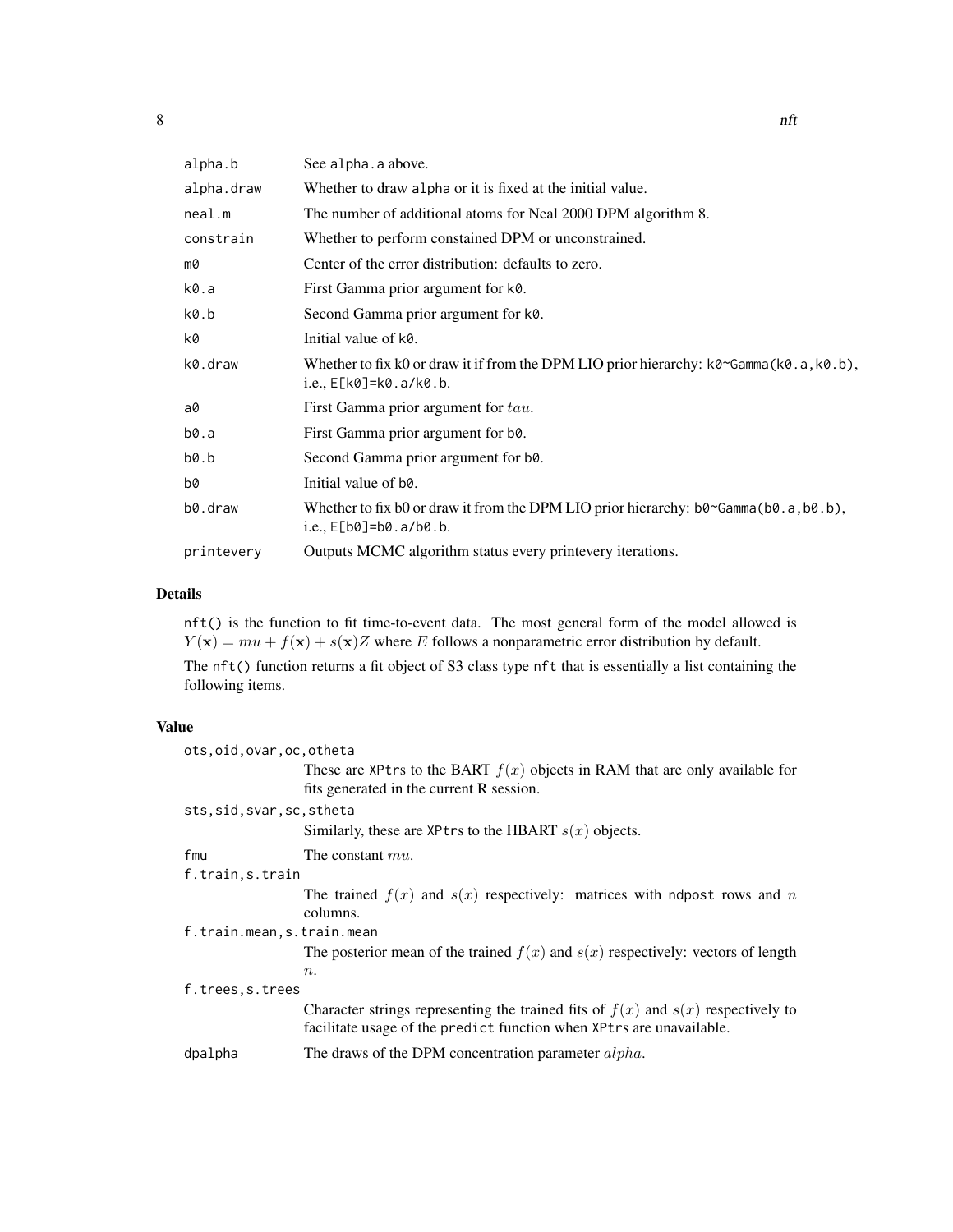| alpha.b    | See alpha. a above.                                                                                                              |
|------------|----------------------------------------------------------------------------------------------------------------------------------|
| alpha.draw | Whether to draw alpha or it is fixed at the initial value.                                                                       |
| neal.m     | The number of additional atoms for Neal 2000 DPM algorithm 8.                                                                    |
| constrain  | Whether to perform constained DPM or unconstrained.                                                                              |
| m0         | Center of the error distribution: defaults to zero.                                                                              |
| k0.a       | First Gamma prior argument for k0.                                                                                               |
| k0.b       | Second Gamma prior argument for k0.                                                                                              |
| k0         | Initial value of k0.                                                                                                             |
| k0.draw    | Whether to fix k0 or draw it if from the DPM LIO prior hierarchy: k0~Gamma(k0.a,k0.b),<br>$i.e., E[K0]=k0.a/k0.b.$               |
| a0         | First Gamma prior argument for tau.                                                                                              |
| b0.a       | First Gamma prior argument for b0.                                                                                               |
| b0.b       | Second Gamma prior argument for b0.                                                                                              |
| b0         | Initial value of b <sub>0</sub> .                                                                                                |
| b0.draw    | Whether to fix b0 or draw it from the DPM LIO prior hierarchy: $b0^{\circ}$ Gamma( $b0.a, b0.b$ ),<br>i.e., $E[b0] = b0.a/b0.b.$ |
| printevery | Outputs MCMC algorithm status every printevery iterations.                                                                       |
|            |                                                                                                                                  |

#### Details

nft() is the function to fit time-to-event data. The most general form of the model allowed is  $Y(\mathbf{x}) = mu + f(\mathbf{x}) + s(\mathbf{x})Z$  where E follows a nonparametric error distribution by default.

The nft() function returns a fit object of S3 class type nft that is essentially a list containing the following items.

#### Value

| ots, oid, ovar, oc, otheta |                                                                                                                                                              |
|----------------------------|--------------------------------------------------------------------------------------------------------------------------------------------------------------|
|                            | These are XPtrs to the BART $f(x)$ objects in RAM that are only available for                                                                                |
|                            | fits generated in the current R session.                                                                                                                     |
| sts, sid, svar, sc, stheta |                                                                                                                                                              |
|                            | Similarly, these are XPtrs to the HBART $s(x)$ objects.                                                                                                      |
| fmu                        | The constant $mu$ .                                                                                                                                          |
| f.train, s.train           |                                                                                                                                                              |
|                            | The trained $f(x)$ and $s(x)$ respectively: matrices with ndpost rows and n                                                                                  |
|                            | columns.                                                                                                                                                     |
| f.train.mean, s.train.mean |                                                                                                                                                              |
|                            | The posterior mean of the trained $f(x)$ and $s(x)$ respectively: vectors of length                                                                          |
|                            | $n_{\cdot}$                                                                                                                                                  |
| f.trees, s.trees           |                                                                                                                                                              |
|                            | Character strings representing the trained fits of $f(x)$ and $s(x)$ respectively to<br>facilitate usage of the predict function when XPtrs are unavailable. |
| dpalpha                    | The draws of the DPM concentration parameter alpha.                                                                                                          |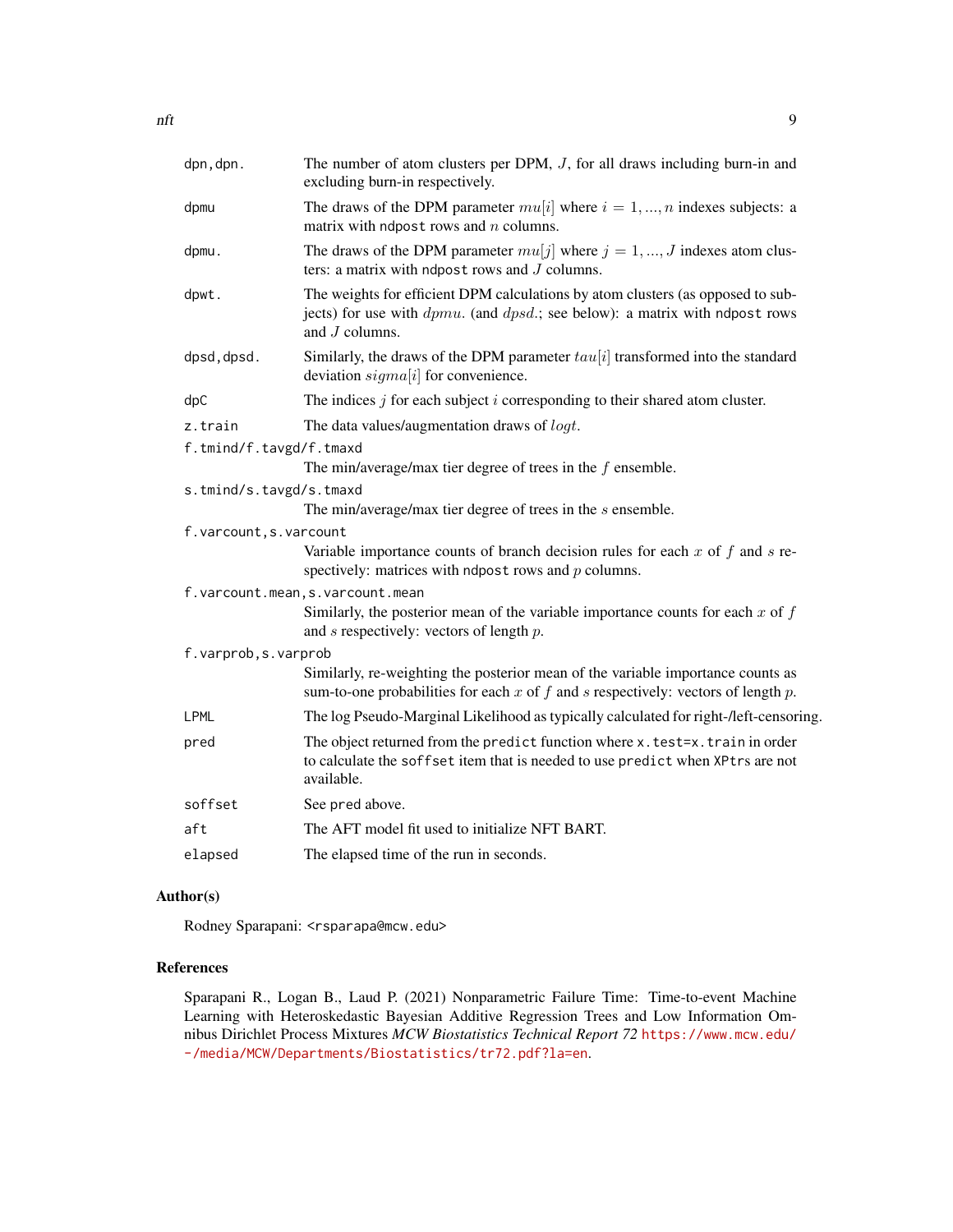| dpn, dpn.               | The number of atom clusters per DPM, $J$ , for all draws including burn-in and<br>excluding burn-in respectively.                                                                      |
|-------------------------|----------------------------------------------------------------------------------------------------------------------------------------------------------------------------------------|
| dpmu                    | The draws of the DPM parameter $mu[i]$ where $i = 1, , n$ indexes subjects: a<br>matrix with ndpost rows and $n$ columns.                                                              |
| dpmu.                   | The draws of the DPM parameter $mu[j]$ where $j = 1, , J$ indexes atom clus-<br>ters: a matrix with ndpost rows and $J$ columns.                                                       |
| dpwt.                   | The weights for efficient DPM calculations by atom clusters (as opposed to sub-<br>jects) for use with $dpmu$ . (and $dpsd$ .; see below): a matrix with ndpost rows<br>and J columns. |
| dpsd, dpsd.             | Similarly, the draws of the DPM parameter $tau[i]$ transformed into the standard<br>deviation $sigma[i]$ for convenience.                                                              |
| dpC                     | The indices $j$ for each subject $i$ corresponding to their shared atom cluster.                                                                                                       |
| z.train                 | The data values/augmentation draws of <i>logt</i> .                                                                                                                                    |
| f.tmind/f.tavgd/f.tmaxd |                                                                                                                                                                                        |
|                         | The min/average/max tier degree of trees in the $f$ ensemble.                                                                                                                          |
| s.tmind/s.tavgd/s.tmaxd |                                                                                                                                                                                        |
|                         | The min/average/max tier degree of trees in the $s$ ensemble.                                                                                                                          |
| f.varcount, s.varcount  |                                                                                                                                                                                        |
|                         | Variable importance counts of branch decision rules for each $x$ of $f$ and $s$ re-<br>spectively: matrices with ndpost rows and $p$ columns.                                          |
|                         | f.varcount.mean, s.varcount.mean                                                                                                                                                       |
|                         | Similarly, the posterior mean of the variable importance counts for each $x$ of $f$<br>and $s$ respectively: vectors of length $p$ .                                                   |
| f.varprob, s.varprob    |                                                                                                                                                                                        |
|                         | Similarly, re-weighting the posterior mean of the variable importance counts as<br>sum-to-one probabilities for each $x$ of $f$ and $s$ respectively: vectors of length $p$ .          |
| LPML                    | The log Pseudo-Marginal Likelihood as typically calculated for right-/left-censoring.                                                                                                  |
| pred                    | The object returned from the predict function where x. test=x. train in order<br>to calculate the soffset item that is needed to use predict when XPtrs are not<br>available.          |
| soffset                 | See pred above.                                                                                                                                                                        |
| aft                     | The AFT model fit used to initialize NFT BART.                                                                                                                                         |
| elapsed                 | The elapsed time of the run in seconds.                                                                                                                                                |
|                         |                                                                                                                                                                                        |

#### Author(s)

Rodney Sparapani: <rsparapa@mcw.edu>

#### References

Sparapani R., Logan B., Laud P. (2021) Nonparametric Failure Time: Time-to-event Machine Learning with Heteroskedastic Bayesian Additive Regression Trees and Low Information Omnibus Dirichlet Process Mixtures *MCW Biostatistics Technical Report 72* [https://www.mcw.edu/](https://www.mcw.edu/-/media/MCW/Departments/Biostatistics/tr72.pdf?la=en) [-/media/MCW/Departments/Biostatistics/tr72.pdf?la=en](https://www.mcw.edu/-/media/MCW/Departments/Biostatistics/tr72.pdf?la=en).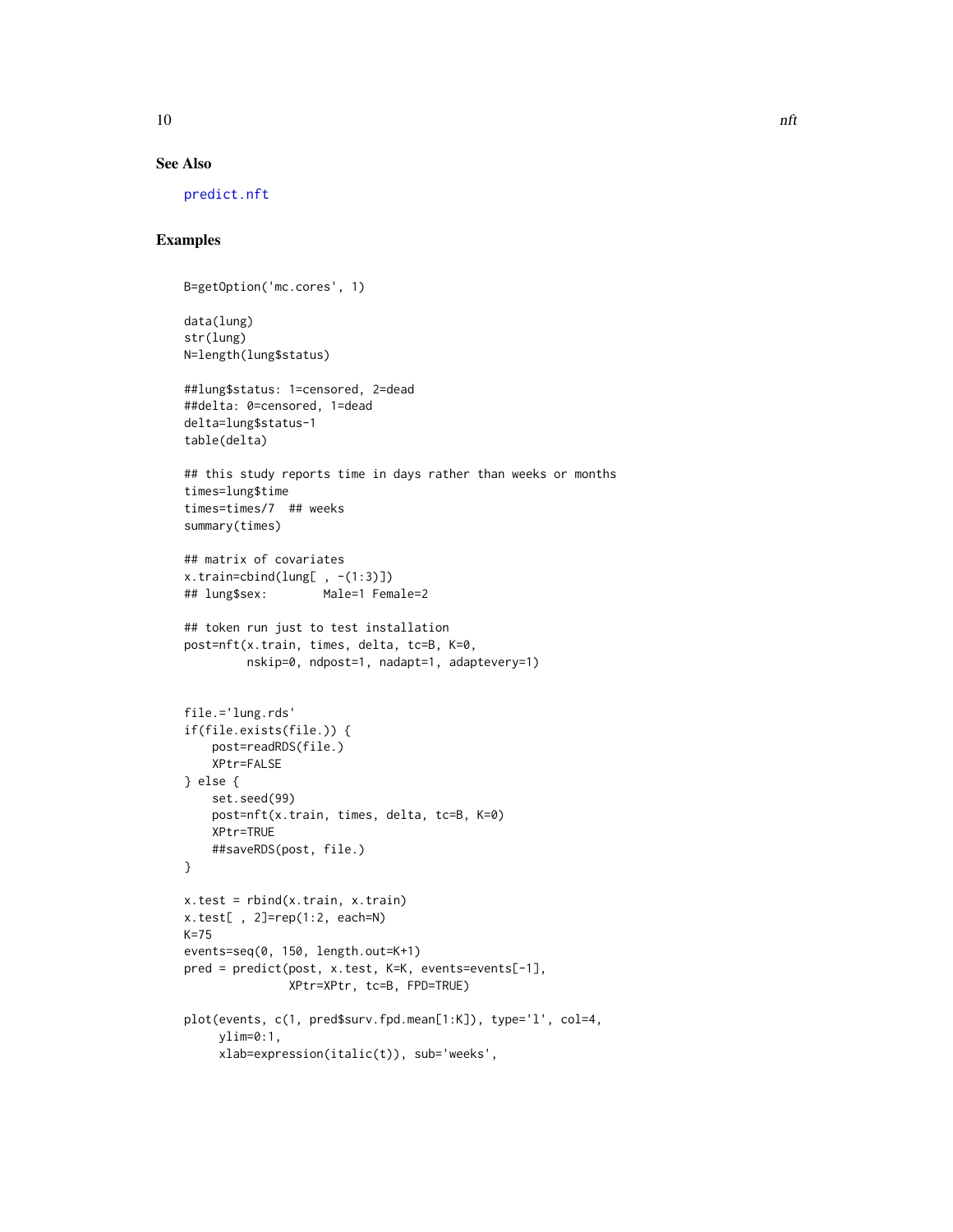<span id="page-9-0"></span>

#### See Also

[predict.nft](#page-10-1)

#### Examples

```
B=getOption('mc.cores', 1)
```

```
data(lung)
str(lung)
N=length(lung$status)
##lung$status: 1=censored, 2=dead
##delta: 0=censored, 1=dead
delta=lung$status-1
table(delta)
## this study reports time in days rather than weeks or months
times=lung$time
times=times/7 ## weeks
summary(times)
## matrix of covariates
x.train=cbind(lung[ , -(1:3)]## lung$sex: Male=1 Female=2
## token run just to test installation
post=nft(x.train, times, delta, tc=B, K=0,
        nskip=0, ndpost=1, nadapt=1, adaptevery=1)
file.='lung.rds'
if(file.exists(file.)) {
    post=readRDS(file.)
    XPtr=FALSE
} else {
   set.seed(99)
    post=nft(x.train, times, delta, tc=B, K=0)
   XPtr=TRUE
    ##saveRDS(post, file.)
}
x.test = rbind(x.train, x.train)
x.test[ , 2]=rep(1:2, each=N)
K=75
events=seq(0, 150, length.out=K+1)
pred = predict(post, x.test, K=K, events=events[-1],
              XPtr=XPtr, tc=B, FPD=TRUE)
plot(events, c(1, pred$surv.fpd.mean[1:K]), type='l', col=4,
     ylim=0:1,
     xlab=expression(italic(t)), sub='weeks',
```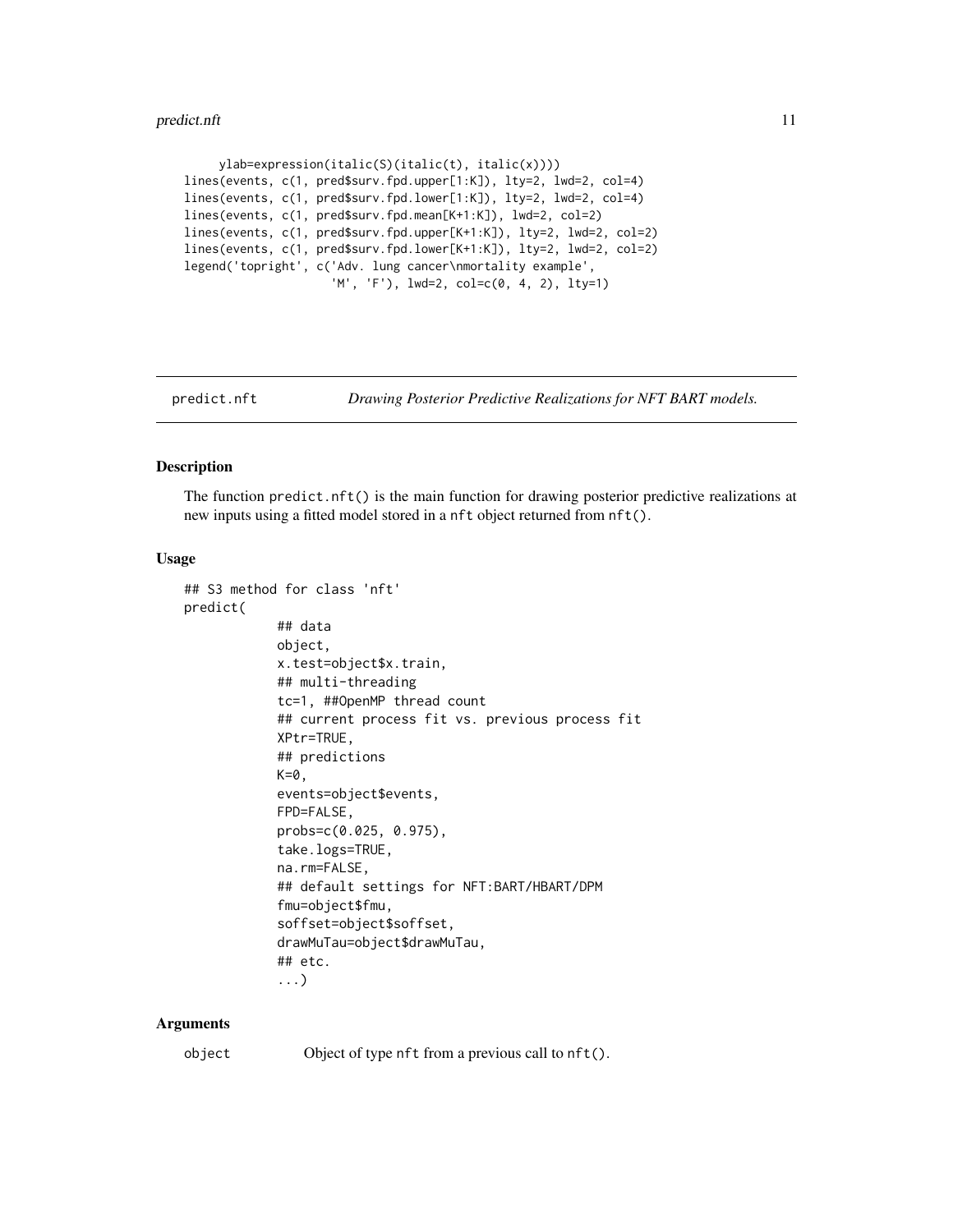```
ylab=expression(italic(S)(italic(t), italic(x))))
lines(events, c(1, pred$surv.fpd.upper[1:K]), lty=2, lwd=2, col=4)
lines(events, c(1, pred$surv.fpd.lower[1:K]), lty=2, lwd=2, col=4)
lines(events, c(1, pred$surv.fpd.mean[K+1:K]), lwd=2, col=2)
lines(events, c(1, pred$surv.fpd.upper[K+1:K]), lty=2, lwd=2, col=2)
lines(events, c(1, pred$surv.fpd.lower[K+1:K]), lty=2, lwd=2, col=2)
legend('topright', c('Adv. lung cancer\nmortality example',
                     'M', 'F'), lwd=2, col=c(0, 4, 2), lty=1)
```
<span id="page-10-1"></span>

predict.nft *Drawing Posterior Predictive Realizations for NFT BART models.*

#### Description

The function predict.nft() is the main function for drawing posterior predictive realizations at new inputs using a fitted model stored in a nft object returned from nft().

#### Usage

```
## S3 method for class 'nft'
predict(
            ## data
            object,
            x.test=object$x.train,
            ## multi-threading
            tc=1, ##OpenMP thread count
            ## current process fit vs. previous process fit
            XPtr=TRUE,
            ## predictions
            K=0,
            events=object$events,
            FPD=FALSE,
            probs=c(0.025, 0.975),
            take.logs=TRUE,
            na.rm=FALSE,
            ## default settings for NFT:BART/HBART/DPM
            fmu=object$fmu,
            soffset=object$soffset,
            drawMuTau=object$drawMuTau,
            ## etc.
            ...)
```
#### Arguments

object Object of type nft from a previous call to nft().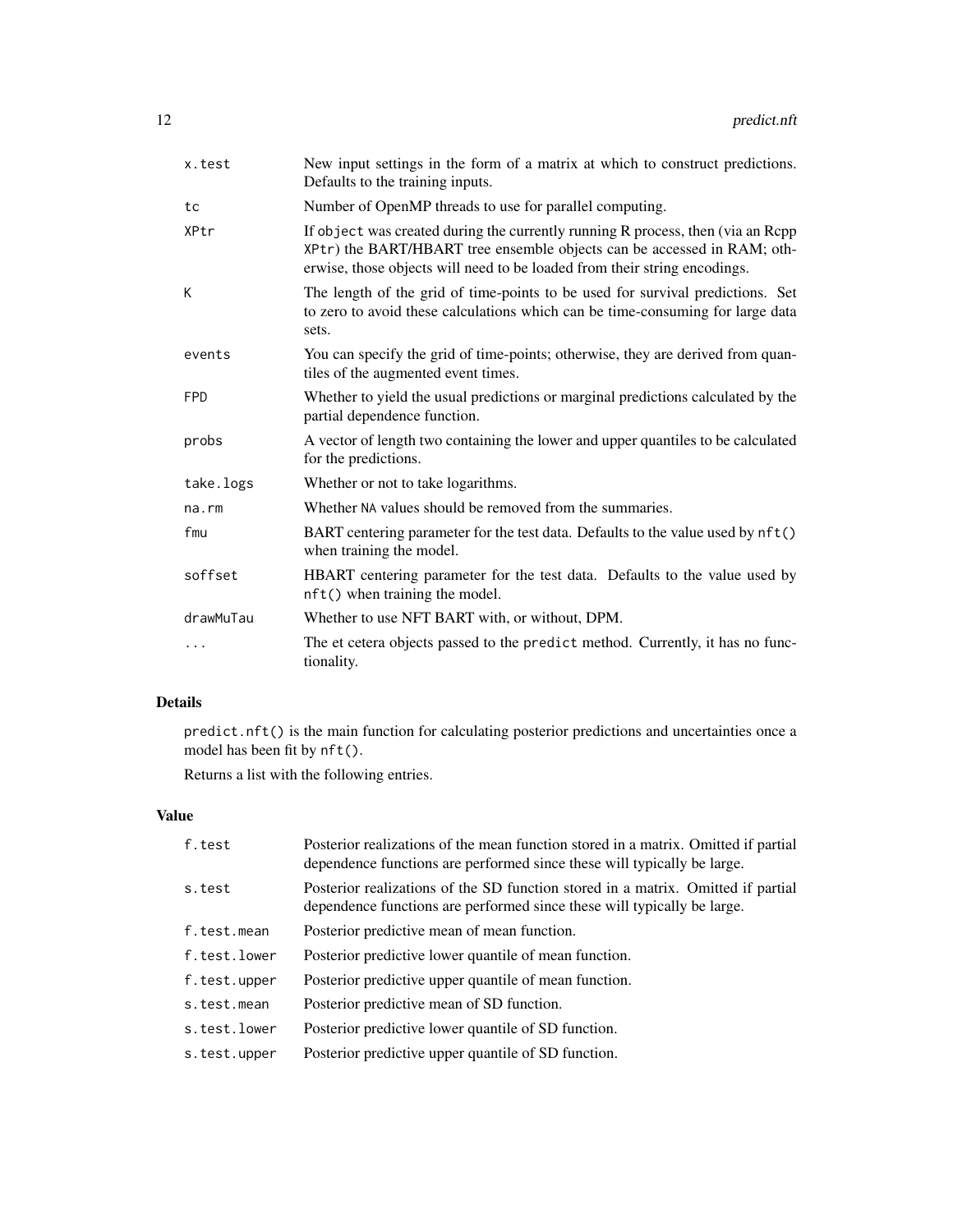| x.test      | New input settings in the form of a matrix at which to construct predictions.<br>Defaults to the training inputs.                                                                                                                        |
|-------------|------------------------------------------------------------------------------------------------------------------------------------------------------------------------------------------------------------------------------------------|
| tc          | Number of OpenMP threads to use for parallel computing.                                                                                                                                                                                  |
| XPtr        | If object was created during the currently running R process, then (via an Rcpp)<br>XPtr) the BART/HBART tree ensemble objects can be accessed in RAM; oth-<br>erwise, those objects will need to be loaded from their string encodings. |
| К           | The length of the grid of time-points to be used for survival predictions. Set<br>to zero to avoid these calculations which can be time-consuming for large data<br>sets.                                                                |
| events      | You can specify the grid of time-points; otherwise, they are derived from quan-<br>tiles of the augmented event times.                                                                                                                   |
| <b>FPD</b>  | Whether to yield the usual predictions or marginal predictions calculated by the<br>partial dependence function.                                                                                                                         |
| probs       | A vector of length two containing the lower and upper quantiles to be calculated<br>for the predictions.                                                                                                                                 |
| take.logs   | Whether or not to take logarithms.                                                                                                                                                                                                       |
| $na$ . $rm$ | Whether NA values should be removed from the summaries.                                                                                                                                                                                  |
| fmu         | BART centering parameter for the test data. Defaults to the value used by nft()<br>when training the model.                                                                                                                              |
| soffset     | HBART centering parameter for the test data. Defaults to the value used by<br>nft() when training the model.                                                                                                                             |
| drawMuTau   | Whether to use NFT BART with, or without, DPM.                                                                                                                                                                                           |
|             | The et cetera objects passed to the predict method. Currently, it has no func-<br>tionality.                                                                                                                                             |

### Details

predict.nft() is the main function for calculating posterior predictions and uncertainties once a model has been fit by nft().

Returns a list with the following entries.

#### Value

| Posterior realizations of the mean function stored in a matrix. Omitted if partial<br>dependence functions are performed since these will typically be large. |
|---------------------------------------------------------------------------------------------------------------------------------------------------------------|
| Posterior realizations of the SD function stored in a matrix. Omitted if partial<br>dependence functions are performed since these will typically be large.   |
| Posterior predictive mean of mean function.                                                                                                                   |
| Posterior predictive lower quantile of mean function.                                                                                                         |
| Posterior predictive upper quantile of mean function.                                                                                                         |
| Posterior predictive mean of SD function.                                                                                                                     |
| Posterior predictive lower quantile of SD function.                                                                                                           |
| Posterior predictive upper quantile of SD function.                                                                                                           |
|                                                                                                                                                               |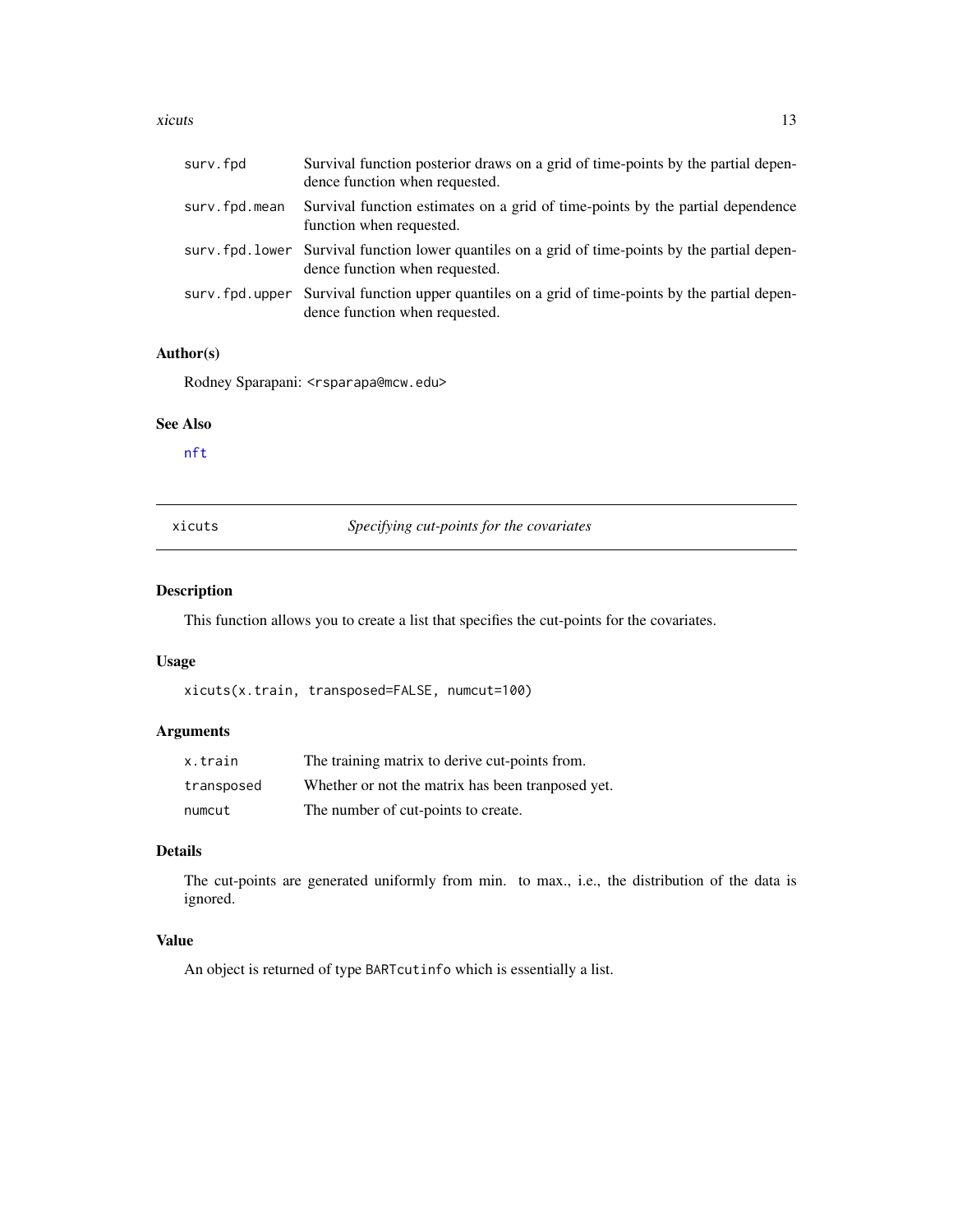#### <span id="page-12-0"></span>xicuts and the set of the set of the set of the set of the set of the set of the set of the set of the set of the set of the set of the set of the set of the set of the set of the set of the set of the set of the set of th

| surv.fpd      | Survival function posterior draws on a grid of time-points by the partial depen-<br>dence function when requested.                  |
|---------------|-------------------------------------------------------------------------------------------------------------------------------------|
| surv.fpd.mean | Survival function estimates on a grid of time-points by the partial dependence<br>function when requested.                          |
|               | surv. fpd. lower Survival function lower quantiles on a grid of time-points by the partial depen-<br>dence function when requested. |
|               | surv, fpd, upper Survival function upper quantiles on a grid of time-points by the partial depen-<br>dence function when requested. |

#### Author(s)

Rodney Sparapani: <rsparapa@mcw.edu>

#### See Also

[nft](#page-5-1)

#### <span id="page-12-1"></span>xicuts *Specifying cut-points for the covariates*

#### Description

This function allows you to create a list that specifies the cut-points for the covariates.

#### Usage

xicuts(x.train, transposed=FALSE, numcut=100)

#### Arguments

| x.train    | The training matrix to derive cut-points from.     |
|------------|----------------------------------------------------|
| transposed | Whether or not the matrix has been transposed yet. |
| numcut     | The number of cut-points to create.                |

#### Details

The cut-points are generated uniformly from min. to max., i.e., the distribution of the data is ignored.

#### Value

An object is returned of type BARTcutinfo which is essentially a list.